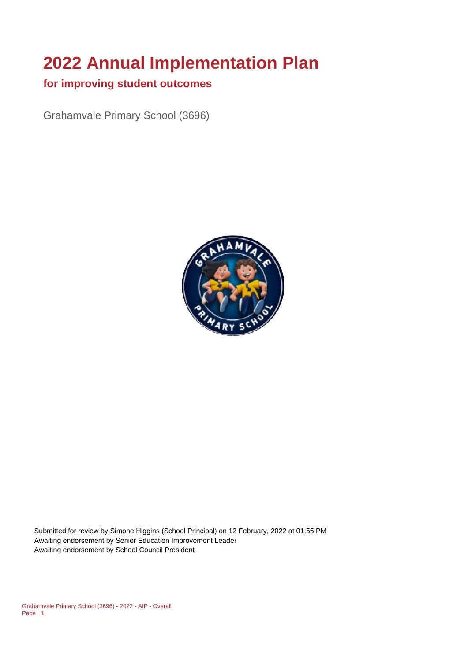# **2022 Annual Implementation Plan**

### **for improving student outcomes**

Grahamvale Primary School (3696)



Submitted for review by Simone Higgins (School Principal) on 12 February, 2022 at 01:55 PM Awaiting endorsement by Senior Education Improvement Leader Awaiting endorsement by School Council President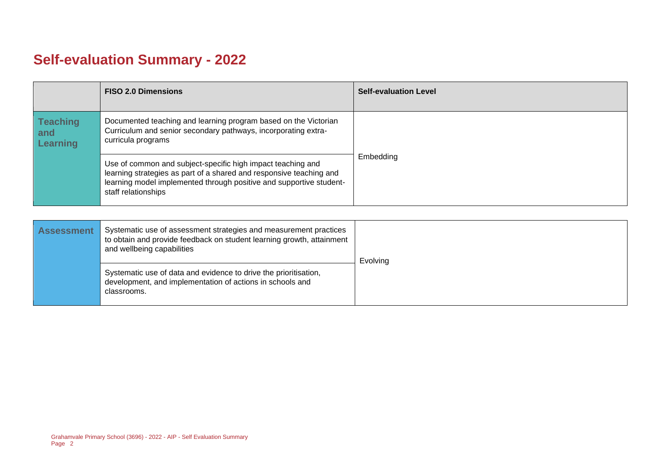# **Self-evaluation Summary - 2022**

|                                           | <b>FISO 2.0 Dimensions</b>                                                                                                                                                                                                       | <b>Self-evaluation Level</b> |
|-------------------------------------------|----------------------------------------------------------------------------------------------------------------------------------------------------------------------------------------------------------------------------------|------------------------------|
| <b>Teaching</b><br>and<br><b>Learning</b> | Documented teaching and learning program based on the Victorian<br>Curriculum and senior secondary pathways, incorporating extra-<br>curricula programs                                                                          |                              |
|                                           | Use of common and subject-specific high impact teaching and<br>learning strategies as part of a shared and responsive teaching and<br>learning model implemented through positive and supportive student-<br>staff relationships | Embedding                    |

| <b>Assessment</b> | Systematic use of assessment strategies and measurement practices<br>to obtain and provide feedback on student learning growth, attainment<br>and wellbeing capabilities | Evolving |
|-------------------|--------------------------------------------------------------------------------------------------------------------------------------------------------------------------|----------|
|                   | Systematic use of data and evidence to drive the prioritisation,<br>development, and implementation of actions in schools and<br>classrooms.                             |          |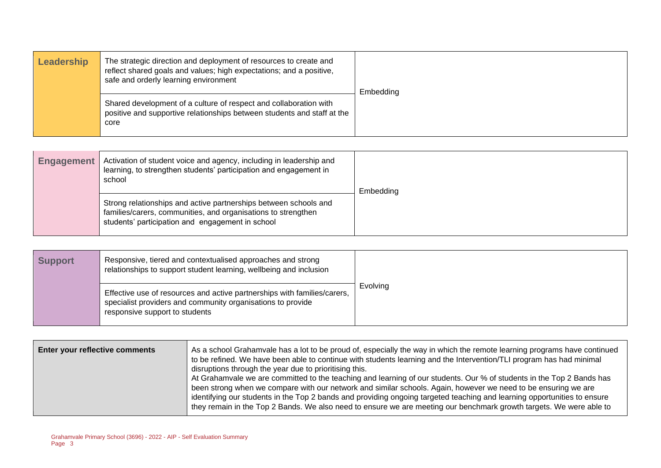| Leadership | The strategic direction and deployment of resources to create and<br>reflect shared goals and values; high expectations; and a positive,<br>safe and orderly learning environment | Embedding |
|------------|-----------------------------------------------------------------------------------------------------------------------------------------------------------------------------------|-----------|
|            | Shared development of a culture of respect and collaboration with<br>positive and supportive relationships between students and staff at the<br>core                              |           |

| <b>Engagement</b> | Activation of student voice and agency, including in leadership and<br>learning, to strengthen students' participation and engagement in<br>school                                    | Embedding |
|-------------------|---------------------------------------------------------------------------------------------------------------------------------------------------------------------------------------|-----------|
|                   | Strong relationships and active partnerships between schools and<br>families/carers, communities, and organisations to strengthen<br>students' participation and engagement in school |           |

| <b>Support</b> | Responsive, tiered and contextualised approaches and strong<br>relationships to support student learning, wellbeing and inclusion                                         |          |
|----------------|---------------------------------------------------------------------------------------------------------------------------------------------------------------------------|----------|
|                | Effective use of resources and active partnerships with families/carers,<br>specialist providers and community organisations to provide<br>responsive support to students | Evolving |

| Enter your reflective comments | As a school Grahamvale has a lot to be proud of, especially the way in which the remote learning programs have continued<br>to be refined. We have been able to continue with students learning and the Intervention/TLI program has had minimal<br>disruptions through the year due to prioritising this.<br>At Grahamvale we are committed to the teaching and learning of our students. Our % of students in the Top 2 Bands has<br>been strong when we compare with our network and similar schools. Again, however we need to be ensuring we are<br>identifying our students in the Top 2 bands and providing ongoing targeted teaching and learning opportunities to ensure<br>they remain in the Top 2 Bands. We also need to ensure we are meeting our benchmark growth targets. We were able to |
|--------------------------------|----------------------------------------------------------------------------------------------------------------------------------------------------------------------------------------------------------------------------------------------------------------------------------------------------------------------------------------------------------------------------------------------------------------------------------------------------------------------------------------------------------------------------------------------------------------------------------------------------------------------------------------------------------------------------------------------------------------------------------------------------------------------------------------------------------|
|                                |                                                                                                                                                                                                                                                                                                                                                                                                                                                                                                                                                                                                                                                                                                                                                                                                          |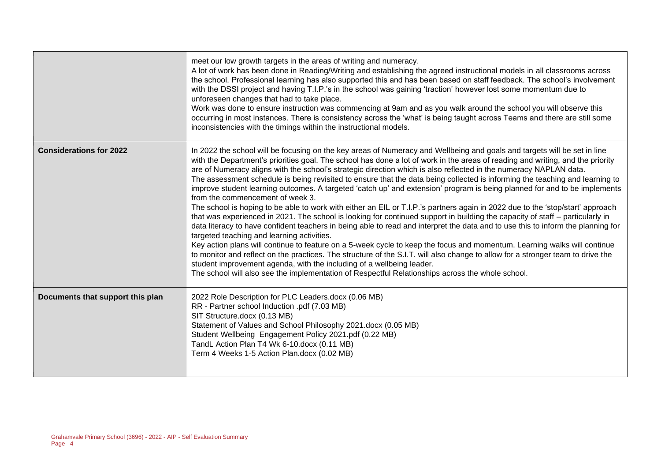|                                  | meet our low growth targets in the areas of writing and numeracy.<br>A lot of work has been done in Reading/Writing and establishing the agreed instructional models in all classrooms across<br>the school. Professional learning has also supported this and has been based on staff feedback. The school's involvement<br>with the DSSI project and having T.I.P.'s in the school was gaining 'traction' however lost some momentum due to<br>unforeseen changes that had to take place.<br>Work was done to ensure instruction was commencing at 9am and as you walk around the school you will observe this<br>occurring in most instances. There is consistency across the 'what' is being taught across Teams and there are still some<br>inconsistencies with the timings within the instructional models.                                                                                                                                                                                                                                                                                                                                                                                                                                                                                                                                                                                                                                                                                                                                                                |
|----------------------------------|-----------------------------------------------------------------------------------------------------------------------------------------------------------------------------------------------------------------------------------------------------------------------------------------------------------------------------------------------------------------------------------------------------------------------------------------------------------------------------------------------------------------------------------------------------------------------------------------------------------------------------------------------------------------------------------------------------------------------------------------------------------------------------------------------------------------------------------------------------------------------------------------------------------------------------------------------------------------------------------------------------------------------------------------------------------------------------------------------------------------------------------------------------------------------------------------------------------------------------------------------------------------------------------------------------------------------------------------------------------------------------------------------------------------------------------------------------------------------------------------------------------------------------------------------------------------------------------|
| <b>Considerations for 2022</b>   | In 2022 the school will be focusing on the key areas of Numeracy and Wellbeing and goals and targets will be set in line<br>with the Department's priorities goal. The school has done a lot of work in the areas of reading and writing, and the priority<br>are of Numeracy aligns with the school's strategic direction which is also reflected in the numeracy NAPLAN data.<br>The assessment schedule is being revisited to ensure that the data being collected is informing the teaching and learning to<br>improve student learning outcomes. A targeted 'catch up' and extension' program is being planned for and to be implements<br>from the commencement of week 3.<br>The school is hoping to be able to work with either an EIL or T.I.P.'s partners again in 2022 due to the 'stop/start' approach<br>that was experienced in 2021. The school is looking for continued support in building the capacity of staff – particularly in<br>data literacy to have confident teachers in being able to read and interpret the data and to use this to inform the planning for<br>targeted teaching and learning activities.<br>Key action plans will continue to feature on a 5-week cycle to keep the focus and momentum. Learning walks will continue<br>to monitor and reflect on the practices. The structure of the S.I.T. will also change to allow for a stronger team to drive the<br>student improvement agenda, with the including of a wellbeing leader.<br>The school will also see the implementation of Respectful Relationships across the whole school. |
| Documents that support this plan | 2022 Role Description for PLC Leaders.docx (0.06 MB)<br>RR - Partner school Induction .pdf (7.03 MB)<br>SIT Structure.docx (0.13 MB)<br>Statement of Values and School Philosophy 2021.docx (0.05 MB)<br>Student Wellbeing Engagement Policy 2021.pdf (0.22 MB)<br>TandL Action Plan T4 Wk 6-10.docx (0.11 MB)<br>Term 4 Weeks 1-5 Action Plan.docx (0.02 MB)                                                                                                                                                                                                                                                                                                                                                                                                                                                                                                                                                                                                                                                                                                                                                                                                                                                                                                                                                                                                                                                                                                                                                                                                                     |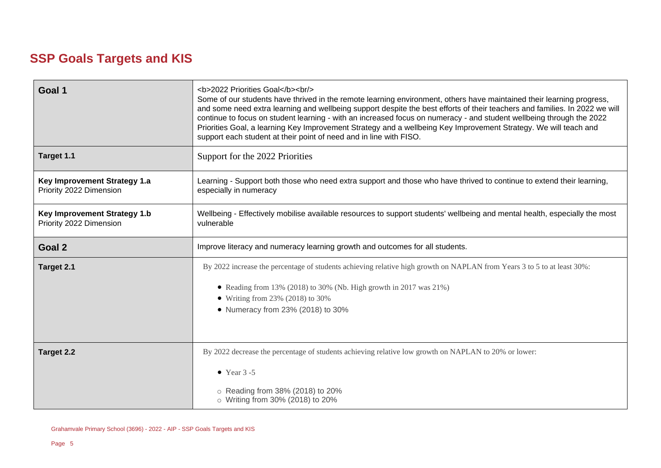# **SSP Goals Targets and KIS**

| Goal 1                                                                                                             | <b>2022 Priorities Goal</b><br><br><br>Some of our students have thrived in the remote learning environment, others have maintained their learning progress,<br>and some need extra learning and wellbeing support despite the best efforts of their teachers and families. In 2022 we will<br>continue to focus on student learning - with an increased focus on numeracy - and student wellbeing through the 2022<br>Priorities Goal, a learning Key Improvement Strategy and a wellbeing Key Improvement Strategy. We will teach and<br>support each student at their point of need and in line with FISO. |  |
|--------------------------------------------------------------------------------------------------------------------|---------------------------------------------------------------------------------------------------------------------------------------------------------------------------------------------------------------------------------------------------------------------------------------------------------------------------------------------------------------------------------------------------------------------------------------------------------------------------------------------------------------------------------------------------------------------------------------------------------------|--|
| Target 1.1                                                                                                         | Support for the 2022 Priorities                                                                                                                                                                                                                                                                                                                                                                                                                                                                                                                                                                               |  |
| <b>Key Improvement Strategy 1.a</b><br>Priority 2022 Dimension                                                     | Learning - Support both those who need extra support and those who have thrived to continue to extend their learning,<br>especially in numeracy                                                                                                                                                                                                                                                                                                                                                                                                                                                               |  |
| <b>Key Improvement Strategy 1.b</b><br>Priority 2022 Dimension                                                     | Wellbeing - Effectively mobilise available resources to support students' wellbeing and mental health, especially the most<br>vulnerable                                                                                                                                                                                                                                                                                                                                                                                                                                                                      |  |
| Goal 2                                                                                                             | Improve literacy and numeracy learning growth and outcomes for all students.                                                                                                                                                                                                                                                                                                                                                                                                                                                                                                                                  |  |
| Target 2.1                                                                                                         | By 2022 increase the percentage of students achieving relative high growth on NAPLAN from Years 3 to 5 to at least 30%:                                                                                                                                                                                                                                                                                                                                                                                                                                                                                       |  |
|                                                                                                                    | • Reading from 13% (2018) to 30% (Nb. High growth in 2017 was $21\%$ )                                                                                                                                                                                                                                                                                                                                                                                                                                                                                                                                        |  |
|                                                                                                                    | • Writing from 23% (2018) to 30%                                                                                                                                                                                                                                                                                                                                                                                                                                                                                                                                                                              |  |
|                                                                                                                    | • Numeracy from 23% (2018) to 30%                                                                                                                                                                                                                                                                                                                                                                                                                                                                                                                                                                             |  |
|                                                                                                                    |                                                                                                                                                                                                                                                                                                                                                                                                                                                                                                                                                                                                               |  |
| By 2022 decrease the percentage of students achieving relative low growth on NAPLAN to 20% or lower:<br>Target 2.2 |                                                                                                                                                                                                                                                                                                                                                                                                                                                                                                                                                                                                               |  |
|                                                                                                                    | $\bullet$ Year 3 -5                                                                                                                                                                                                                                                                                                                                                                                                                                                                                                                                                                                           |  |
|                                                                                                                    | ○ Reading from 38% (2018) to 20%<br>o Writing from 30% (2018) to 20%                                                                                                                                                                                                                                                                                                                                                                                                                                                                                                                                          |  |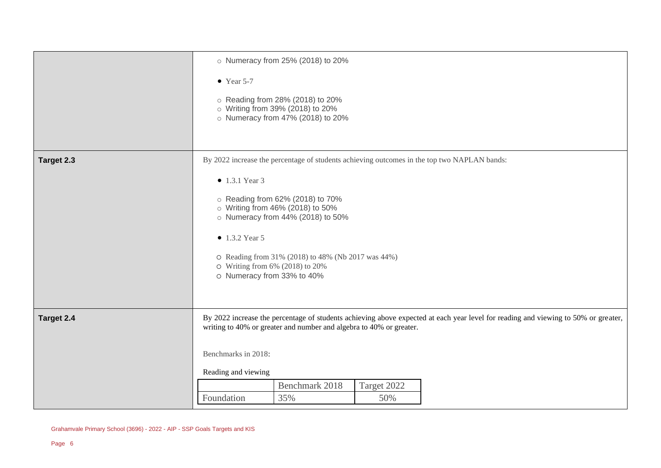|            | o Numeracy from 25% (2018) to 20%                                                                                                                                                                         |  |  |
|------------|-----------------------------------------------------------------------------------------------------------------------------------------------------------------------------------------------------------|--|--|
|            | $\bullet$ Year 5-7<br>○ Reading from 28% (2018) to 20%<br>o Writing from 39% (2018) to 20%<br>o Numeracy from 47% (2018) to 20%                                                                           |  |  |
|            |                                                                                                                                                                                                           |  |  |
| Target 2.3 | By 2022 increase the percentage of students achieving outcomes in the top two NAPLAN bands:                                                                                                               |  |  |
|            | $\bullet$ 1.3.1 Year 3                                                                                                                                                                                    |  |  |
|            | ○ Reading from 62% (2018) to 70%<br>o Writing from 46% (2018) to 50%<br>o Numeracy from 44% (2018) to 50%                                                                                                 |  |  |
|            | $\bullet$ 1.3.2 Year 5                                                                                                                                                                                    |  |  |
|            | O Reading from 31% (2018) to 48% (Nb 2017 was 44%)<br>$\circ$ Writing from 6% (2018) to 20%<br>o Numeracy from 33% to 40%                                                                                 |  |  |
|            |                                                                                                                                                                                                           |  |  |
| Target 2.4 | By 2022 increase the percentage of students achieving above expected at each year level for reading and viewing to 50% or greater,<br>writing to 40% or greater and number and algebra to 40% or greater. |  |  |
|            | Benchmarks in 2018:                                                                                                                                                                                       |  |  |
|            | Reading and viewing                                                                                                                                                                                       |  |  |
|            | Benchmark 2018<br>Target 2022                                                                                                                                                                             |  |  |
|            | 35%<br>Foundation<br>50%                                                                                                                                                                                  |  |  |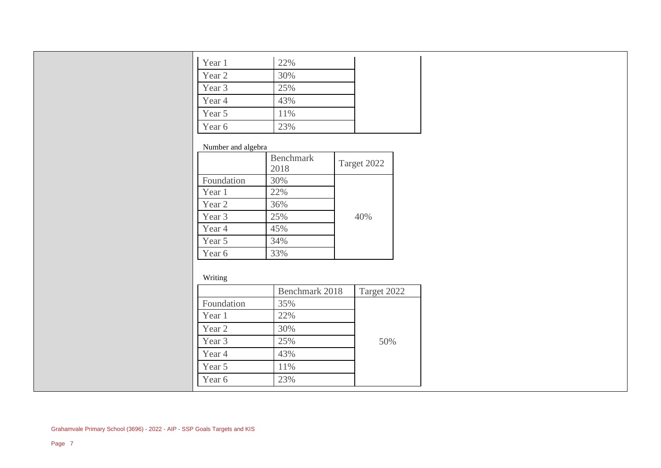| Year 1 | 22% |
|--------|-----|
| Year 2 | 30% |
| Year 3 | 25% |
| Year 4 | 43% |
| Year 5 | 11% |
| Year 6 | 23% |

#### Number and algebra

|            | <b>Benchmark</b><br>2018 | Target 2022 |
|------------|--------------------------|-------------|
| Foundation | 30%                      |             |
| Year 1     | 22%                      |             |
| Year 2     | 36%                      |             |
| Year 3     | 25%                      | 40%         |
| Year 4     | 45%                      |             |
| Year 5     | 34%                      |             |
| Year 6     | 33%                      |             |

#### Writing

|            | Benchmark 2018 | Target 2022 |
|------------|----------------|-------------|
| Foundation | 35%            |             |
| Year 1     | 22%            |             |
| Year 2     | 30%            |             |
| Year 3     | 25%            | 50%         |
| Year 4     | 43%            |             |
| Year 5     | 11%            |             |
| Year 6     | 23%            |             |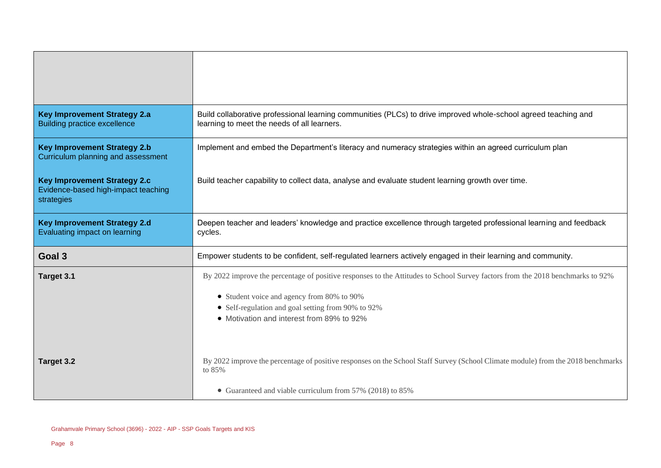| <b>Key Improvement Strategy 2.a</b><br><b>Building practice excellence</b>               | Build collaborative professional learning communities (PLCs) to drive improved whole-school agreed teaching and<br>learning to meet the needs of all learners. |
|------------------------------------------------------------------------------------------|----------------------------------------------------------------------------------------------------------------------------------------------------------------|
| <b>Key Improvement Strategy 2.b</b><br>Curriculum planning and assessment                | Implement and embed the Department's literacy and numeracy strategies within an agreed curriculum plan                                                         |
| <b>Key Improvement Strategy 2.c</b><br>Evidence-based high-impact teaching<br>strategies | Build teacher capability to collect data, analyse and evaluate student learning growth over time.                                                              |
| <b>Key Improvement Strategy 2.d</b><br>Evaluating impact on learning                     | Deepen teacher and leaders' knowledge and practice excellence through targeted professional learning and feedback<br>cycles.                                   |
| Goal 3                                                                                   | Empower students to be confident, self-regulated learners actively engaged in their learning and community.                                                    |
| Target 3.1                                                                               | By 2022 improve the percentage of positive responses to the Attitudes to School Survey factors from the 2018 benchmarks to 92%                                 |
|                                                                                          | • Student voice and agency from 80% to 90%<br>• Self-regulation and goal setting from 90% to 92%<br>• Motivation and interest from 89% to 92%                  |
| Target 3.2                                                                               | By 2022 improve the percentage of positive responses on the School Staff Survey (School Climate module) from the 2018 benchmarks<br>to 85%                     |
|                                                                                          | • Guaranteed and viable curriculum from 57% (2018) to 85%                                                                                                      |

 $\overline{a}$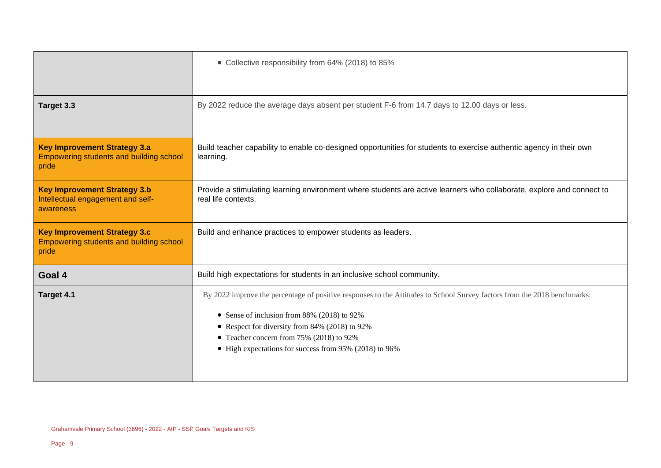|                                                                                                | • Collective responsibility from 64% (2018) to 85%                                                                                                                                                                                                                                                                              |
|------------------------------------------------------------------------------------------------|---------------------------------------------------------------------------------------------------------------------------------------------------------------------------------------------------------------------------------------------------------------------------------------------------------------------------------|
| Target 3.3                                                                                     | By 2022 reduce the average days absent per student F-6 from 14.7 days to 12.00 days or less.                                                                                                                                                                                                                                    |
| <b>Key Improvement Strategy 3.a</b><br><b>Empowering students and building school</b><br>pride | Build teacher capability to enable co-designed opportunities for students to exercise authentic agency in their own<br>learning.                                                                                                                                                                                                |
| <b>Key Improvement Strategy 3.b</b><br>Intellectual engagement and self-<br>awareness          | Provide a stimulating learning environment where students are active learners who collaborate, explore and connect to<br>real life contexts.                                                                                                                                                                                    |
| <b>Key Improvement Strategy 3.c</b><br>Empowering students and building school<br>pride        | Build and enhance practices to empower students as leaders.                                                                                                                                                                                                                                                                     |
| Goal 4                                                                                         | Build high expectations for students in an inclusive school community.                                                                                                                                                                                                                                                          |
| Target 4.1                                                                                     | By 2022 improve the percentage of positive responses to the Attitudes to School Survey factors from the 2018 benchmarks:<br>• Sense of inclusion from 88% (2018) to 92%<br>• Respect for diversity from 84% (2018) to 92%<br>• Teacher concern from 75% (2018) to 92%<br>• High expectations for success from 95% (2018) to 96% |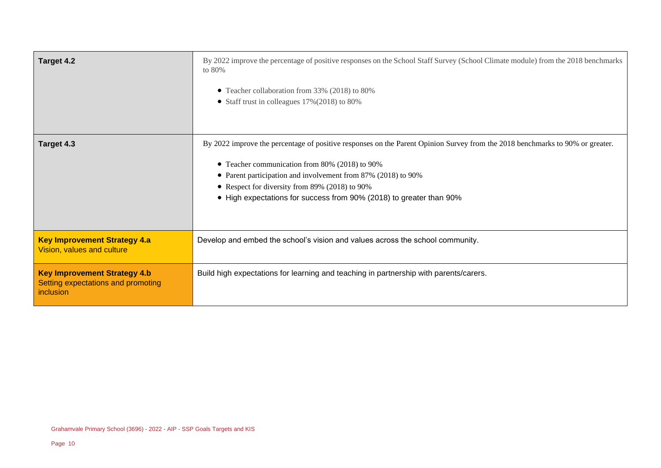| Target 4.2                                                                             | By 2022 improve the percentage of positive responses on the School Staff Survey (School Climate module) from the 2018 benchmarks<br>to 80%<br>• Teacher collaboration from 33% (2018) to 80%<br>• Staff trust in colleagues 17% (2018) to 80%                                                                                                                             |
|----------------------------------------------------------------------------------------|---------------------------------------------------------------------------------------------------------------------------------------------------------------------------------------------------------------------------------------------------------------------------------------------------------------------------------------------------------------------------|
| Target 4.3                                                                             | By 2022 improve the percentage of positive responses on the Parent Opinion Survey from the 2018 benchmarks to 90% or greater.<br>• Teacher communication from 80% (2018) to 90%<br>• Parent participation and involvement from 87% (2018) to 90%<br>• Respect for diversity from 89% (2018) to 90%<br>• High expectations for success from 90% (2018) to greater than 90% |
| <b>Key Improvement Strategy 4.a</b><br>Vision, values and culture                      | Develop and embed the school's vision and values across the school community.                                                                                                                                                                                                                                                                                             |
| <b>Key Improvement Strategy 4.b</b><br>Setting expectations and promoting<br>inclusion | Build high expectations for learning and teaching in partnership with parents/carers.                                                                                                                                                                                                                                                                                     |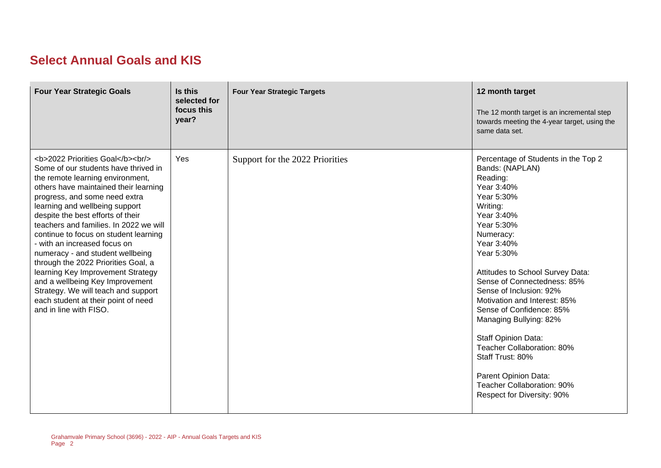# **Select Annual Goals and KIS**

| <b>Four Year Strategic Goals</b>                                                                                                                                                              | Is this<br>selected for<br>focus this<br>year? | <b>Four Year Strategic Targets</b> | 12 month target<br>The 12 month target is an incremental step<br>towards meeting the 4-year target, using the<br>same data set.                                                                                                                                                                                                                                                                                                                                                                                                  |
|-----------------------------------------------------------------------------------------------------------------------------------------------------------------------------------------------|------------------------------------------------|------------------------------------|----------------------------------------------------------------------------------------------------------------------------------------------------------------------------------------------------------------------------------------------------------------------------------------------------------------------------------------------------------------------------------------------------------------------------------------------------------------------------------------------------------------------------------|
| <b>2022 Priorities Goal</b><br><br><br>Some of our students have thrived in<br>the remote learning environment,<br>others have maintained their learning<br>progress, and some need extra<br> | Yes                                            | Support for the 2022 Priorities    | Percentage of Students in the Top 2<br>Bands: (NAPLAN)<br>Reading:<br>Year 3:40%<br>Year 5:30%<br>Writing:<br>Year 3:40%<br>Year 5:30%<br>Numeracy:<br>Year 3:40%<br>Year 5:30%<br>Attitudes to School Survey Data:<br>Sense of Connectedness: 85%<br>Sense of Inclusion: 92%<br>Motivation and Interest: 85%<br>Sense of Confidence: 85%<br>Managing Bullying: 82%<br>Staff Opinion Data:<br>Teacher Collaboration: 80%<br>Staff Trust: 80%<br>Parent Opinion Data:<br>Teacher Collaboration: 90%<br>Respect for Diversity: 90% |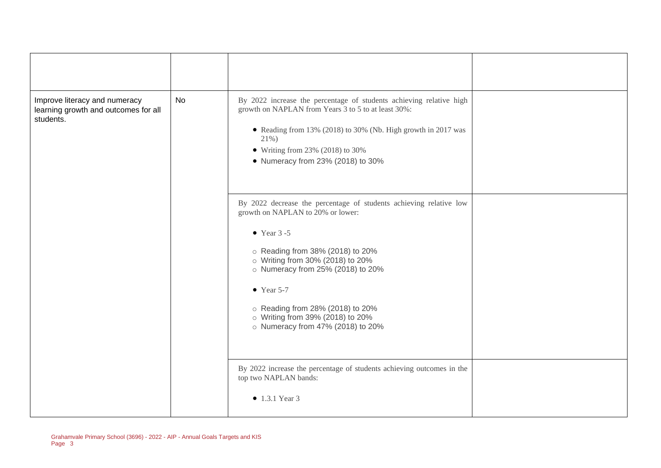| Improve literacy and numeracy<br>learning growth and outcomes for all<br>students. | No | By 2022 increase the percentage of students achieving relative high<br>growth on NAPLAN from Years 3 to 5 to at least 30%:<br>• Reading from 13% (2018) to 30% (Nb. High growth in 2017 was<br>21%)<br>$\bullet$ Writing from 23% (2018) to 30%<br>• Numeracy from 23% (2018) to 30%                                                                                           |  |
|------------------------------------------------------------------------------------|----|--------------------------------------------------------------------------------------------------------------------------------------------------------------------------------------------------------------------------------------------------------------------------------------------------------------------------------------------------------------------------------|--|
|                                                                                    |    | By 2022 decrease the percentage of students achieving relative low<br>growth on NAPLAN to 20% or lower:<br>$\bullet$ Year 3 -5<br>○ Reading from 38% (2018) to 20%<br>o Writing from 30% (2018) to 20%<br>o Numeracy from 25% (2018) to 20%<br>$\bullet$ Year 5-7<br>○ Reading from 28% (2018) to 20%<br>o Writing from 39% (2018) to 20%<br>o Numeracy from 47% (2018) to 20% |  |
|                                                                                    |    | By 2022 increase the percentage of students achieving outcomes in the<br>top two NAPLAN bands:<br>$\bullet$ 1.3.1 Year 3                                                                                                                                                                                                                                                       |  |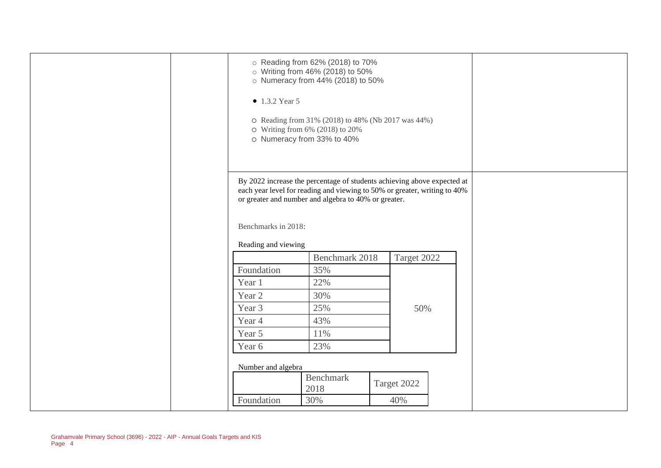| • 1.3.2 Year 5                   | ○ Reading from 62% (2018) to 70%<br>o Writing from 46% (2018) to 50%<br>o Numeracy from 44% (2018) to 50%<br>O Reading from 31% (2018) to 48% (Nb 2017 was 44%)<br>$\circ$ Writing from 6% (2018) to 20%<br>o Numeracy from 33% to 40% |                    |  |
|----------------------------------|----------------------------------------------------------------------------------------------------------------------------------------------------------------------------------------------------------------------------------------|--------------------|--|
| Benchmarks in 2018:              | By 2022 increase the percentage of students achieving above expected at<br>each year level for reading and viewing to 50% or greater, writing to 40%<br>or greater and number and algebra to 40% or greater.                           |                    |  |
| Reading and viewing              |                                                                                                                                                                                                                                        |                    |  |
|                                  | Benchmark 2018                                                                                                                                                                                                                         | Target 2022        |  |
| Foundation                       | 35%                                                                                                                                                                                                                                    |                    |  |
| Year 1                           | 22%                                                                                                                                                                                                                                    |                    |  |
| Year 2                           | 30%                                                                                                                                                                                                                                    |                    |  |
| Year 3                           | 25%                                                                                                                                                                                                                                    | 50%                |  |
| Year 4                           | 43%                                                                                                                                                                                                                                    |                    |  |
| Year 5                           | 11%                                                                                                                                                                                                                                    |                    |  |
| Year 6                           | 23%                                                                                                                                                                                                                                    |                    |  |
| Number and algebra<br>Foundation | <b>Benchmark</b><br>2018<br>30%                                                                                                                                                                                                        | Target 2022<br>40% |  |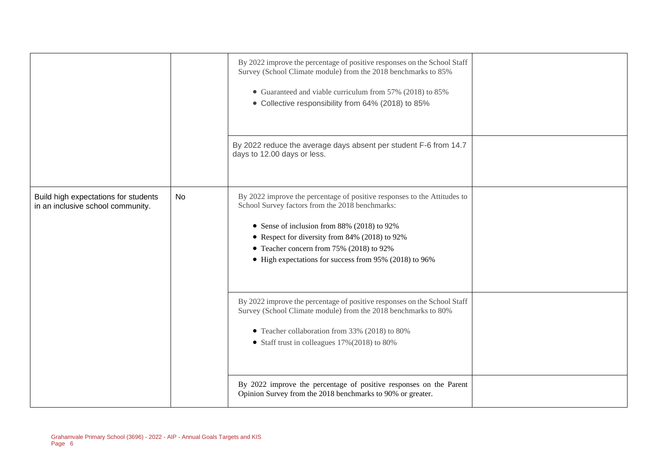|                                                                           |     | By 2022 improve the percentage of positive responses on the School Staff<br>Survey (School Climate module) from the 2018 benchmarks to 85%<br>• Guaranteed and viable curriculum from 57% (2018) to 85%<br>• Collective responsibility from 64% (2018) to 85%                                                                      |  |
|---------------------------------------------------------------------------|-----|------------------------------------------------------------------------------------------------------------------------------------------------------------------------------------------------------------------------------------------------------------------------------------------------------------------------------------|--|
|                                                                           |     | By 2022 reduce the average days absent per student F-6 from 14.7<br>days to 12.00 days or less.                                                                                                                                                                                                                                    |  |
| Build high expectations for students<br>in an inclusive school community. | No. | By 2022 improve the percentage of positive responses to the Attitudes to<br>School Survey factors from the 2018 benchmarks:<br>• Sense of inclusion from 88% (2018) to 92%<br>• Respect for diversity from 84% (2018) to 92%<br>• Teacher concern from 75% (2018) to 92%<br>• High expectations for success from 95% (2018) to 96% |  |
|                                                                           |     | By 2022 improve the percentage of positive responses on the School Staff<br>Survey (School Climate module) from the 2018 benchmarks to 80%<br>• Teacher collaboration from 33% (2018) to 80%<br>• Staff trust in colleagues $17\%(2018)$ to 80%                                                                                    |  |
|                                                                           |     | By 2022 improve the percentage of positive responses on the Parent<br>Opinion Survey from the 2018 benchmarks to 90% or greater.                                                                                                                                                                                                   |  |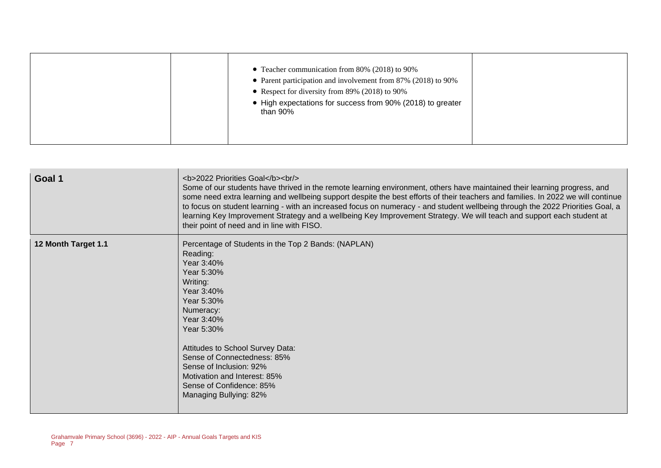| • Teacher communication from 80% (2018) to 90%<br>• Parent participation and involvement from 87% (2018) to 90%<br>• Respect for diversity from 89% (2018) to 90%<br>• High expectations for success from 90% (2018) to greater<br>than 90% |  |
|---------------------------------------------------------------------------------------------------------------------------------------------------------------------------------------------------------------------------------------------|--|
|---------------------------------------------------------------------------------------------------------------------------------------------------------------------------------------------------------------------------------------------|--|

| Goal 1              | <b>2022 Priorities Goal</b><br><br><br>Some of our students have thrived in the remote learning environment, others have maintained their learning progress, and<br>some need extra learning and wellbeing support despite the best efforts of their teachers and families. In 2022 we will continue<br>to focus on student learning - with an increased focus on numeracy - and student wellbeing through the 2022 Priorities Goal, a<br>learning Key Improvement Strategy and a wellbeing Key Improvement Strategy. We will teach and support each student at<br>their point of need and in line with FISO. |
|---------------------|---------------------------------------------------------------------------------------------------------------------------------------------------------------------------------------------------------------------------------------------------------------------------------------------------------------------------------------------------------------------------------------------------------------------------------------------------------------------------------------------------------------------------------------------------------------------------------------------------------------|
| 12 Month Target 1.1 | Percentage of Students in the Top 2 Bands: (NAPLAN)<br>Reading:<br>Year 3:40%<br>Year 5:30%<br>Writing:<br>Year 3:40%<br>Year 5:30%<br>Numeracy:<br>Year 3:40%<br>Year 5:30%<br>Attitudes to School Survey Data:<br>Sense of Connectedness: 85%<br>Sense of Inclusion: 92%<br>Motivation and Interest: 85%<br>Sense of Confidence: 85%<br>Managing Bullying: 82%                                                                                                                                                                                                                                              |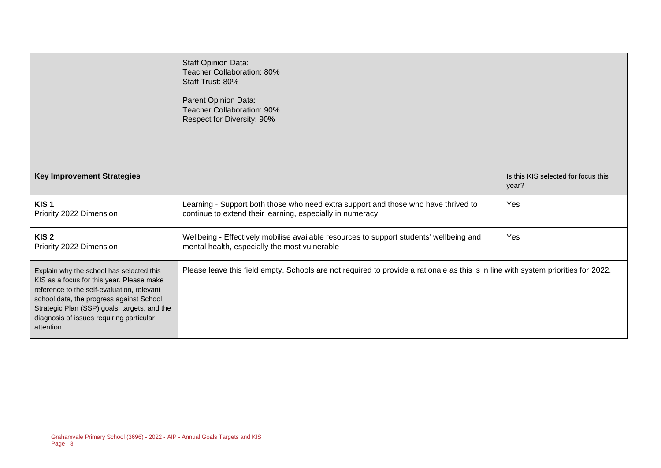|                                                                                                                                                                                                                                                                                           | Staff Opinion Data:<br>Teacher Collaboration: 80%<br>Staff Trust: 80%<br>Parent Opinion Data:<br><b>Teacher Collaboration: 90%</b><br>Respect for Diversity: 90% |                                              |
|-------------------------------------------------------------------------------------------------------------------------------------------------------------------------------------------------------------------------------------------------------------------------------------------|------------------------------------------------------------------------------------------------------------------------------------------------------------------|----------------------------------------------|
| <b>Key Improvement Strategies</b>                                                                                                                                                                                                                                                         |                                                                                                                                                                  | Is this KIS selected for focus this<br>year? |
| KIS <sub>1</sub><br>Priority 2022 Dimension                                                                                                                                                                                                                                               | Learning - Support both those who need extra support and those who have thrived to<br>continue to extend their learning, especially in numeracy                  | Yes                                          |
| KIS <sub>2</sub><br>Priority 2022 Dimension                                                                                                                                                                                                                                               | Wellbeing - Effectively mobilise available resources to support students' wellbeing and<br>mental health, especially the most vulnerable                         | Yes                                          |
| Explain why the school has selected this<br>KIS as a focus for this year. Please make<br>reference to the self-evaluation, relevant<br>school data, the progress against School<br>Strategic Plan (SSP) goals, targets, and the<br>diagnosis of issues requiring particular<br>attention. | Please leave this field empty. Schools are not required to provide a rationale as this is in line with system priorities for 2022.                               |                                              |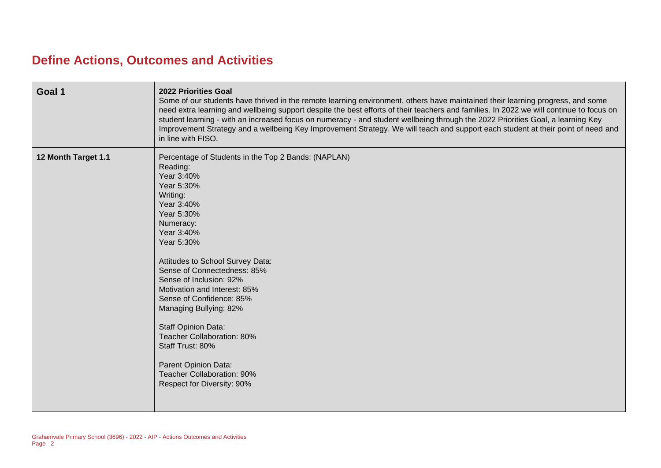# **Define Actions, Outcomes and Activities**

| Goal 1              | 2022 Priorities Goal<br>Some of our students have thrived in the remote learning environment, others have maintained their learning progress, and some<br>need extra learning and wellbeing support despite the best efforts of their teachers and families. In 2022 we will continue to focus on<br>student learning - with an increased focus on numeracy - and student wellbeing through the 2022 Priorities Goal, a learning Key<br>Improvement Strategy and a wellbeing Key Improvement Strategy. We will teach and support each student at their point of need and<br>in line with FISO. |
|---------------------|------------------------------------------------------------------------------------------------------------------------------------------------------------------------------------------------------------------------------------------------------------------------------------------------------------------------------------------------------------------------------------------------------------------------------------------------------------------------------------------------------------------------------------------------------------------------------------------------|
| 12 Month Target 1.1 | Percentage of Students in the Top 2 Bands: (NAPLAN)<br>Reading:<br>Year 3:40%<br>Year 5:30%<br>Writing:<br>Year 3:40%<br>Year 5:30%<br>Numeracy:<br>Year 3:40%<br>Year 5:30%<br>Attitudes to School Survey Data:<br>Sense of Connectedness: 85%<br>Sense of Inclusion: 92%<br>Motivation and Interest: 85%<br>Sense of Confidence: 85%<br>Managing Bullying: 82%<br><b>Staff Opinion Data:</b><br>Teacher Collaboration: 80%<br>Staff Trust: 80%<br>Parent Opinion Data:<br>Teacher Collaboration: 90%<br>Respect for Diversity: 90%                                                           |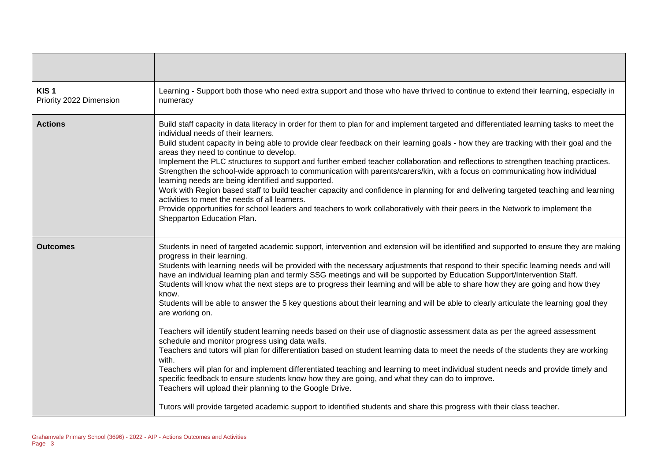| KIS <sub>1</sub><br>Priority 2022 Dimension | Learning - Support both those who need extra support and those who have thrived to continue to extend their learning, especially in<br>numeracy                                                                                                                                                                                                                                                                                                                                                                                                                                                                                                                                                                                                                                                                                                                                                                                                                                                                                                                                                                                                                                                                                                                                                                                                                                                                                                                                                               |
|---------------------------------------------|---------------------------------------------------------------------------------------------------------------------------------------------------------------------------------------------------------------------------------------------------------------------------------------------------------------------------------------------------------------------------------------------------------------------------------------------------------------------------------------------------------------------------------------------------------------------------------------------------------------------------------------------------------------------------------------------------------------------------------------------------------------------------------------------------------------------------------------------------------------------------------------------------------------------------------------------------------------------------------------------------------------------------------------------------------------------------------------------------------------------------------------------------------------------------------------------------------------------------------------------------------------------------------------------------------------------------------------------------------------------------------------------------------------------------------------------------------------------------------------------------------------|
| <b>Actions</b>                              | Build staff capacity in data literacy in order for them to plan for and implement targeted and differentiated learning tasks to meet the<br>individual needs of their learners.<br>Build student capacity in being able to provide clear feedback on their learning goals - how they are tracking with their goal and the<br>areas they need to continue to develop.<br>Implement the PLC structures to support and further embed teacher collaboration and reflections to strengthen teaching practices.<br>Strengthen the school-wide approach to communication with parents/carers/kin, with a focus on communicating how individual<br>learning needs are being identified and supported.<br>Work with Region based staff to build teacher capacity and confidence in planning for and delivering targeted teaching and learning<br>activities to meet the needs of all learners.<br>Provide opportunities for school leaders and teachers to work collaboratively with their peers in the Network to implement the<br>Shepparton Education Plan.                                                                                                                                                                                                                                                                                                                                                                                                                                                         |
| <b>Outcomes</b>                             | Students in need of targeted academic support, intervention and extension will be identified and supported to ensure they are making<br>progress in their learning.<br>Students with learning needs will be provided with the necessary adjustments that respond to their specific learning needs and will<br>have an individual learning plan and termly SSG meetings and will be supported by Education Support/Intervention Staff.<br>Students will know what the next steps are to progress their learning and will be able to share how they are going and how they<br>know.<br>Students will be able to answer the 5 key questions about their learning and will be able to clearly articulate the learning goal they<br>are working on.<br>Teachers will identify student learning needs based on their use of diagnostic assessment data as per the agreed assessment<br>schedule and monitor progress using data walls.<br>Teachers and tutors will plan for differentiation based on student learning data to meet the needs of the students they are working<br>with.<br>Teachers will plan for and implement differentiated teaching and learning to meet individual student needs and provide timely and<br>specific feedback to ensure students know how they are going, and what they can do to improve.<br>Teachers will upload their planning to the Google Drive.<br>Tutors will provide targeted academic support to identified students and share this progress with their class teacher. |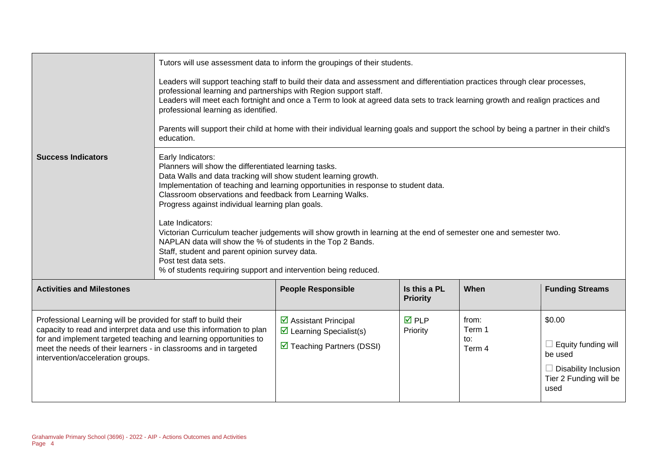|                                                                                                                                                                                                                                                                                                                       | Tutors will use assessment data to inform the groupings of their students.                                                                                                                                                                                                                                                                                                                                                                                                                                                                                                                                                                                                                               |                                                                                                              |                                 |                                  |                                                                                                                  |
|-----------------------------------------------------------------------------------------------------------------------------------------------------------------------------------------------------------------------------------------------------------------------------------------------------------------------|----------------------------------------------------------------------------------------------------------------------------------------------------------------------------------------------------------------------------------------------------------------------------------------------------------------------------------------------------------------------------------------------------------------------------------------------------------------------------------------------------------------------------------------------------------------------------------------------------------------------------------------------------------------------------------------------------------|--------------------------------------------------------------------------------------------------------------|---------------------------------|----------------------------------|------------------------------------------------------------------------------------------------------------------|
|                                                                                                                                                                                                                                                                                                                       | Leaders will support teaching staff to build their data and assessment and differentiation practices through clear processes,<br>professional learning and partnerships with Region support staff.<br>Leaders will meet each fortnight and once a Term to look at agreed data sets to track learning growth and realign practices and<br>professional learning as identified.<br>Parents will support their child at home with their individual learning goals and support the school by being a partner in their child's<br>education.                                                                                                                                                                  |                                                                                                              |                                 |                                  |                                                                                                                  |
| <b>Success Indicators</b>                                                                                                                                                                                                                                                                                             | Early Indicators:<br>Planners will show the differentiated learning tasks.<br>Data Walls and data tracking will show student learning growth.<br>Implementation of teaching and learning opportunities in response to student data.<br>Classroom observations and feedback from Learning Walks.<br>Progress against individual learning plan goals.<br>Late Indicators:<br>Victorian Curriculum teacher judgements will show growth in learning at the end of semester one and semester two.<br>NAPLAN data will show the % of students in the Top 2 Bands.<br>Staff, student and parent opinion survey data.<br>Post test data sets.<br>% of students requiring support and intervention being reduced. |                                                                                                              |                                 |                                  |                                                                                                                  |
| <b>Activities and Milestones</b>                                                                                                                                                                                                                                                                                      |                                                                                                                                                                                                                                                                                                                                                                                                                                                                                                                                                                                                                                                                                                          | <b>People Responsible</b>                                                                                    | Is this a PL<br><b>Priority</b> | When                             | <b>Funding Streams</b>                                                                                           |
| Professional Learning will be provided for staff to build their<br>capacity to read and interpret data and use this information to plan<br>for and implement targeted teaching and learning opportunities to<br>meet the needs of their learners - in classrooms and in targeted<br>intervention/acceleration groups. |                                                                                                                                                                                                                                                                                                                                                                                                                                                                                                                                                                                                                                                                                                          | ☑ Assistant Principal<br>$\triangleright$ Learning Specialist(s)<br>$\triangledown$ Teaching Partners (DSSI) | <b>☑</b> PLP<br>Priority        | from:<br>Term 1<br>to:<br>Term 4 | \$0.00<br>$\Box$ Equity funding will<br>be used<br>$\Box$ Disability Inclusion<br>Tier 2 Funding will be<br>used |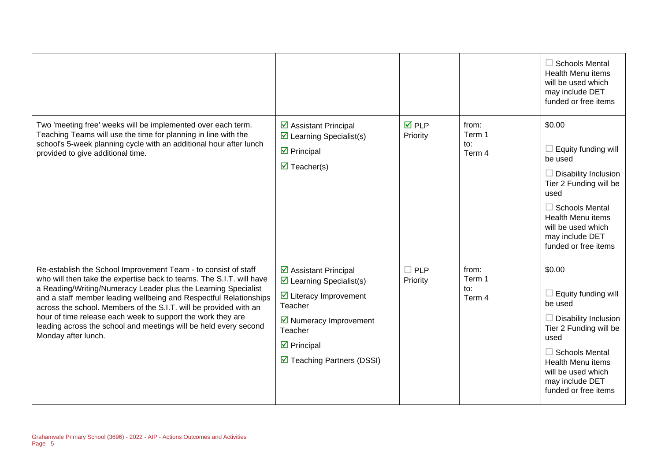|                                                                                                                                                                                                                                                                                                                                                                                                                                                                                                              |                                                                                                                                                                                                                                 |                          |                                  | $\Box$ Schools Mental<br><b>Health Menu items</b><br>will be used which<br>may include DET<br>funded or free items                                                                                                              |
|--------------------------------------------------------------------------------------------------------------------------------------------------------------------------------------------------------------------------------------------------------------------------------------------------------------------------------------------------------------------------------------------------------------------------------------------------------------------------------------------------------------|---------------------------------------------------------------------------------------------------------------------------------------------------------------------------------------------------------------------------------|--------------------------|----------------------------------|---------------------------------------------------------------------------------------------------------------------------------------------------------------------------------------------------------------------------------|
| Two 'meeting free' weeks will be implemented over each term.<br>Teaching Teams will use the time for planning in line with the<br>school's 5-week planning cycle with an additional hour after lunch<br>provided to give additional time.                                                                                                                                                                                                                                                                    | ☑ Assistant Principal<br>$\triangleright$ Learning Specialist(s)<br>$\triangleright$ Principal<br>$\overline{\mathbf{M}}$ Teacher(s)                                                                                            | <b>☑</b> PLP<br>Priority | from:<br>Term 1<br>to:<br>Term 4 | \$0.00<br>Equity funding will<br>be used<br>$\Box$ Disability Inclusion<br>Tier 2 Funding will be<br>used<br>$\Box$ Schools Mental<br><b>Health Menu items</b><br>will be used which<br>may include DET<br>funded or free items |
| Re-establish the School Improvement Team - to consist of staff<br>who will then take the expertise back to teams. The S.I.T. will have<br>a Reading/Writing/Numeracy Leader plus the Learning Specialist<br>and a staff member leading wellbeing and Respectful Relationships<br>across the school. Members of the S.I.T. will be provided with an<br>hour of time release each week to support the work they are<br>leading across the school and meetings will be held every second<br>Monday after lunch. | ☑ Assistant Principal<br>$\triangleright$ Learning Specialist(s)<br>$\triangleright$ Literacy Improvement<br>Teacher<br>$\triangleright$ Numeracy Improvement<br>Teacher<br>$\boxtimes$ Principal<br>☑ Teaching Partners (DSSI) | $\Box$ PLP<br>Priority   | from:<br>Term 1<br>to:<br>Term 4 | \$0.00<br>Equity funding will<br>be used<br>$\Box$ Disability Inclusion<br>Tier 2 Funding will be<br>used<br>$\Box$ Schools Mental<br>Health Menu items<br>will be used which<br>may include DET<br>funded or free items        |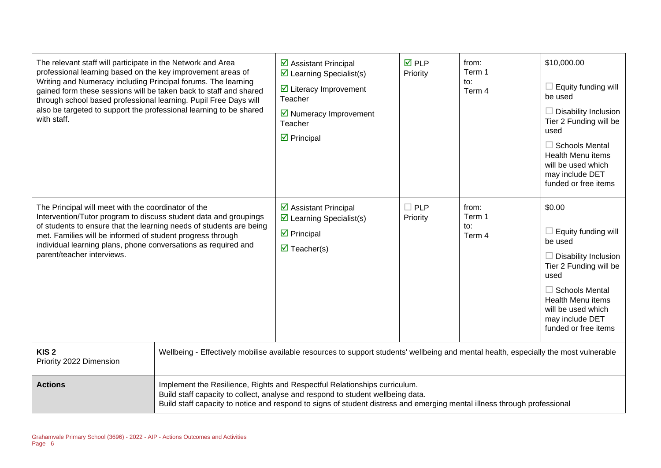| The relevant staff will participate in the Network and Area<br>professional learning based on the key improvement areas of<br>Writing and Numeracy including Principal forums. The learning<br>gained form these sessions will be taken back to staff and shared<br>through school based professional learning. Pupil Free Days will<br>also be targeted to support the professional learning to be shared<br>with staff. |                                                                                                                                                                                                                                                                                          | ☑ Assistant Principal<br>$\triangleright$ Learning Specialist(s)<br>$\triangleright$ Literacy Improvement<br>Teacher<br>$\triangleright$ Numeracy Improvement<br>Teacher<br>$\triangleright$ Principal | <b>☑</b> PLP<br>Priority | from:<br>Term 1<br>to:<br>Term 4 | \$10,000.00<br>$\Box$ Equity funding will<br>be used<br>$\Box$ Disability Inclusion<br>Tier 2 Funding will be<br>used<br>$\Box$ Schools Mental<br><b>Health Menu items</b><br>will be used which<br>may include DET<br>funded or free items |
|---------------------------------------------------------------------------------------------------------------------------------------------------------------------------------------------------------------------------------------------------------------------------------------------------------------------------------------------------------------------------------------------------------------------------|------------------------------------------------------------------------------------------------------------------------------------------------------------------------------------------------------------------------------------------------------------------------------------------|--------------------------------------------------------------------------------------------------------------------------------------------------------------------------------------------------------|--------------------------|----------------------------------|---------------------------------------------------------------------------------------------------------------------------------------------------------------------------------------------------------------------------------------------|
| The Principal will meet with the coordinator of the<br>Intervention/Tutor program to discuss student data and groupings<br>of students to ensure that the learning needs of students are being<br>met. Families will be informed of student progress through<br>individual learning plans, phone conversations as required and<br>parent/teacher interviews.                                                              |                                                                                                                                                                                                                                                                                          | $\triangleright$ Assistant Principal<br>$\triangleright$ Learning Specialist(s)<br>$\triangleright$ Principal<br>$\triangledown$ Teacher(s)                                                            | $\Box$ PLP<br>Priority   | from:<br>Term 1<br>to:<br>Term 4 | \$0.00<br>$\Box$ Equity funding will<br>be used<br>$\Box$ Disability Inclusion<br>Tier 2 Funding will be<br>used<br>$\Box$ Schools Mental<br><b>Health Menu items</b><br>will be used which<br>may include DET<br>funded or free items      |
| KIS <sub>2</sub><br>Priority 2022 Dimension                                                                                                                                                                                                                                                                                                                                                                               | Wellbeing - Effectively mobilise available resources to support students' wellbeing and mental health, especially the most vulnerable                                                                                                                                                    |                                                                                                                                                                                                        |                          |                                  |                                                                                                                                                                                                                                             |
| <b>Actions</b>                                                                                                                                                                                                                                                                                                                                                                                                            | Implement the Resilience, Rights and Respectful Relationships curriculum.<br>Build staff capacity to collect, analyse and respond to student wellbeing data.<br>Build staff capacity to notice and respond to signs of student distress and emerging mental illness through professional |                                                                                                                                                                                                        |                          |                                  |                                                                                                                                                                                                                                             |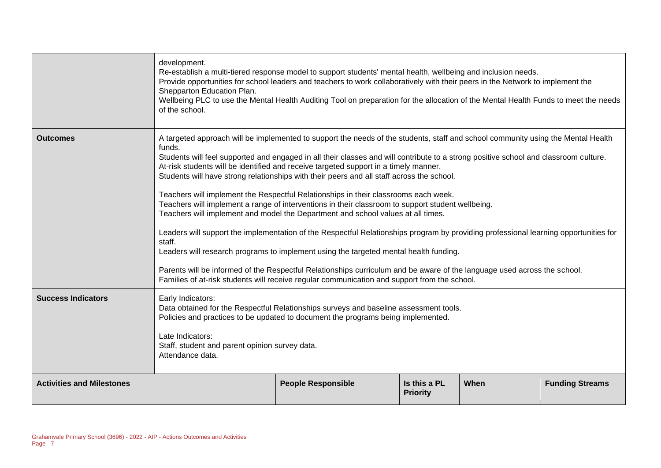|                                  | development.<br>Re-establish a multi-tiered response model to support students' mental health, wellbeing and inclusion needs.<br>Provide opportunities for school leaders and teachers to work collaboratively with their peers in the Network to implement the<br>Shepparton Education Plan.<br>Wellbeing PLC to use the Mental Health Auditing Tool on preparation for the allocation of the Mental Health Funds to meet the needs<br>of the school.                                                                                                                                                                                                                                                                                                                                                                                                                                                                                                                                                                                                                                                                                                                                                                         |                           |                                 |      |                        |  |
|----------------------------------|--------------------------------------------------------------------------------------------------------------------------------------------------------------------------------------------------------------------------------------------------------------------------------------------------------------------------------------------------------------------------------------------------------------------------------------------------------------------------------------------------------------------------------------------------------------------------------------------------------------------------------------------------------------------------------------------------------------------------------------------------------------------------------------------------------------------------------------------------------------------------------------------------------------------------------------------------------------------------------------------------------------------------------------------------------------------------------------------------------------------------------------------------------------------------------------------------------------------------------|---------------------------|---------------------------------|------|------------------------|--|
| <b>Outcomes</b>                  | A targeted approach will be implemented to support the needs of the students, staff and school community using the Mental Health<br>funds.<br>Students will feel supported and engaged in all their classes and will contribute to a strong positive school and classroom culture.<br>At-risk students will be identified and receive targeted support in a timely manner.<br>Students will have strong relationships with their peers and all staff across the school.<br>Teachers will implement the Respectful Relationships in their classrooms each week.<br>Teachers will implement a range of interventions in their classroom to support student wellbeing.<br>Teachers will implement and model the Department and school values at all times.<br>Leaders will support the implementation of the Respectful Relationships program by providing professional learning opportunities for<br>staff.<br>Leaders will research programs to implement using the targeted mental health funding.<br>Parents will be informed of the Respectful Relationships curriculum and be aware of the language used across the school.<br>Families of at-risk students will receive regular communication and support from the school. |                           |                                 |      |                        |  |
| <b>Success Indicators</b>        | Early Indicators:<br>Data obtained for the Respectful Relationships surveys and baseline assessment tools.<br>Policies and practices to be updated to document the programs being implemented.<br>Late Indicators:<br>Staff, student and parent opinion survey data.<br>Attendance data.                                                                                                                                                                                                                                                                                                                                                                                                                                                                                                                                                                                                                                                                                                                                                                                                                                                                                                                                       |                           |                                 |      |                        |  |
| <b>Activities and Milestones</b> |                                                                                                                                                                                                                                                                                                                                                                                                                                                                                                                                                                                                                                                                                                                                                                                                                                                                                                                                                                                                                                                                                                                                                                                                                                | <b>People Responsible</b> | Is this a PL<br><b>Priority</b> | When | <b>Funding Streams</b> |  |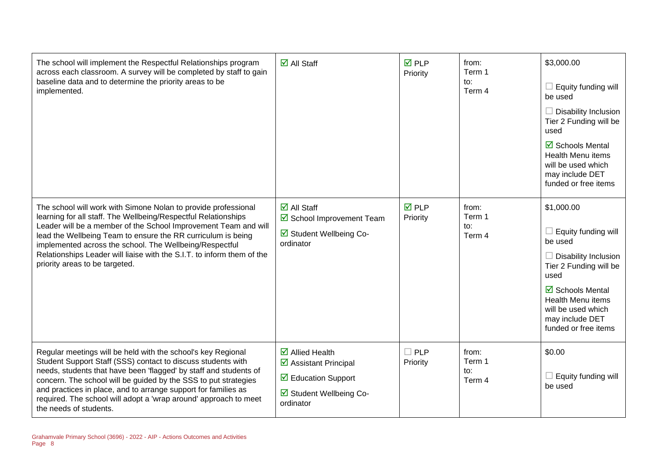| The school will implement the Respectful Relationships program<br>across each classroom. A survey will be completed by staff to gain<br>baseline data and to determine the priority areas to be<br>implemented.                                                                                                                                                                                                                            | $\overline{\mathsf{d}}$ All Staff                                                                                                                          | $\overline{M}$ PLP<br>Priority | from:<br>Term 1<br>to:<br>Term 4 | \$3,000.00<br>$\Box$ Equity funding will<br>be used<br>$\Box$ Disability Inclusion<br>Tier 2 Funding will be<br>used<br>$\boxtimes$ Schools Mental<br>Health Menu items<br>will be used which<br>may include DET<br>funded or free items |
|--------------------------------------------------------------------------------------------------------------------------------------------------------------------------------------------------------------------------------------------------------------------------------------------------------------------------------------------------------------------------------------------------------------------------------------------|------------------------------------------------------------------------------------------------------------------------------------------------------------|--------------------------------|----------------------------------|------------------------------------------------------------------------------------------------------------------------------------------------------------------------------------------------------------------------------------------|
| The school will work with Simone Nolan to provide professional<br>learning for all staff. The Wellbeing/Respectful Relationships<br>Leader will be a member of the School Improvement Team and will<br>lead the Wellbeing Team to ensure the RR curriculum is being<br>implemented across the school. The Wellbeing/Respectful<br>Relationships Leader will liaise with the S.I.T. to inform them of the<br>priority areas to be targeted. | $\overline{\mathsf{d}}$ All Staff<br>School Improvement Team<br>☑ Student Wellbeing Co-<br>ordinator                                                       | $\overline{M}$ PLP<br>Priority | from:<br>Term 1<br>to:<br>Term 4 | \$1,000.00<br>$\Box$ Equity funding will<br>be used<br>$\Box$ Disability Inclusion<br>Tier 2 Funding will be<br>used<br>☑ Schools Mental<br><b>Health Menu items</b><br>will be used which<br>may include DET<br>funded or free items    |
| Regular meetings will be held with the school's key Regional<br>Student Support Staff (SSS) contact to discuss students with<br>needs, students that have been 'flagged' by staff and students of<br>concern. The school will be guided by the SSS to put strategies<br>and practices in place, and to arrange support for families as<br>required. The school will adopt a 'wrap around' approach to meet<br>the needs of students.       | $\overline{\mathbf{z}}$ Allied Health<br>$\triangleright$ Assistant Principal<br>$\triangledown$ Education Support<br>☑ Student Wellbeing Co-<br>ordinator | $\Box$ PLP<br>Priority         | from:<br>Term 1<br>to:<br>Term 4 | \$0.00<br>$\Box$ Equity funding will<br>be used                                                                                                                                                                                          |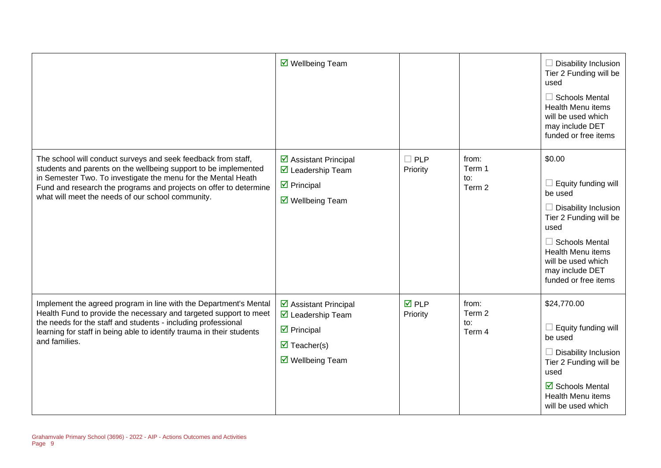|                                                                                                                                                                                                                                                                                                                             | $\overline{\mathbf{M}}$ Wellbeing Team                                                                                     |                                |                                  | $\Box$ Disability Inclusion<br>Tier 2 Funding will be<br>used<br>$\Box$ Schools Mental<br><b>Health Menu items</b><br>will be used which<br>may include DET<br>funded or free items                                                    |
|-----------------------------------------------------------------------------------------------------------------------------------------------------------------------------------------------------------------------------------------------------------------------------------------------------------------------------|----------------------------------------------------------------------------------------------------------------------------|--------------------------------|----------------------------------|----------------------------------------------------------------------------------------------------------------------------------------------------------------------------------------------------------------------------------------|
| The school will conduct surveys and seek feedback from staff,<br>students and parents on the wellbeing support to be implemented<br>in Semester Two. To investigate the menu for the Mental Heath<br>Fund and research the programs and projects on offer to determine<br>what will meet the needs of our school community. | ☑ Assistant Principal<br>■ Leadership Team<br>$\triangleright$ Principal<br>☑ Wellbeing Team                               | $\Box$ PLP<br>Priority         | from:<br>Term 1<br>to:<br>Term 2 | \$0.00<br>$\Box$ Equity funding will<br>be used<br>$\Box$ Disability Inclusion<br>Tier 2 Funding will be<br>used<br>$\Box$ Schools Mental<br><b>Health Menu items</b><br>will be used which<br>may include DET<br>funded or free items |
| Implement the agreed program in line with the Department's Mental<br>Health Fund to provide the necessary and targeted support to meet<br>the needs for the staff and students - including professional<br>learning for staff in being able to identify trauma in their students<br>and families.                           | ☑ Assistant Principal<br>☑ Leadership Team<br>$\triangleright$ Principal<br>$\triangledown$ Teacher(s)<br>☑ Wellbeing Team | $\overline{M}$ PLP<br>Priority | from:<br>Term 2<br>to:<br>Term 4 | \$24,770.00<br>$\Box$ Equity funding will<br>be used<br>$\Box$ Disability Inclusion<br>Tier 2 Funding will be<br>used<br>$\overline{\boxtimes}$ Schools Mental<br><b>Health Menu items</b><br>will be used which                       |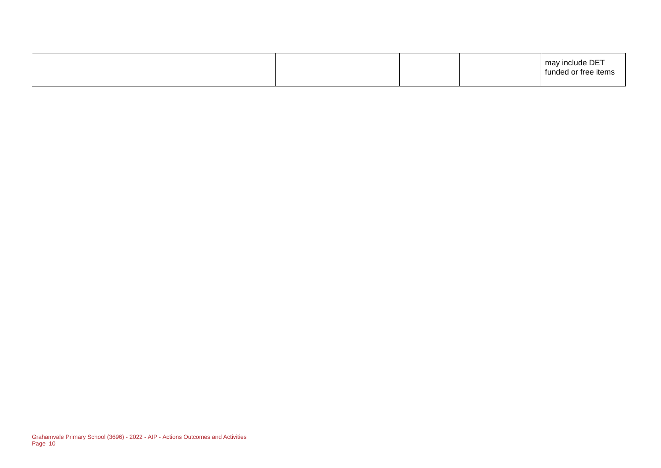|  |  | may include DET<br>funded or free items |
|--|--|-----------------------------------------|
|  |  |                                         |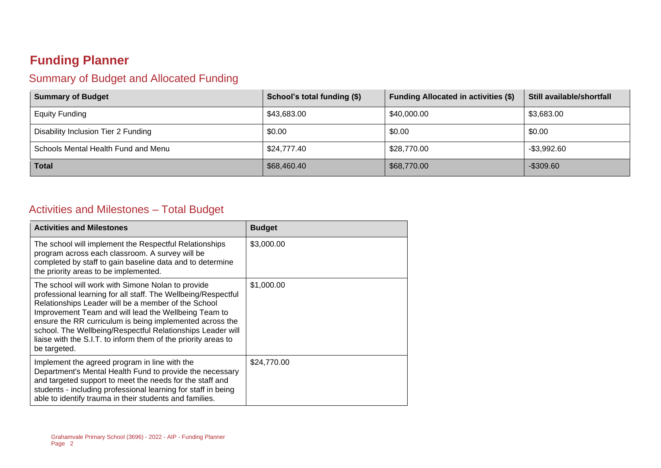# **Funding Planner**

#### Summary of Budget and Allocated Funding

| <b>Summary of Budget</b>            | School's total funding (\$) | <b>Funding Allocated in activities (\$)</b> | Still available/shortfall |
|-------------------------------------|-----------------------------|---------------------------------------------|---------------------------|
| <b>Equity Funding</b>               | \$43,683.00                 | \$40,000.00                                 | \$3,683.00                |
| Disability Inclusion Tier 2 Funding | \$0.00                      | \$0.00                                      | \$0.00                    |
| Schools Mental Health Fund and Menu | \$24,777.40                 | \$28,770.00                                 | $-$3,992.60$              |
| <b>Total</b>                        | \$68,460.40                 | \$68,770.00                                 | $-$ \$309.60              |

#### Activities and Milestones – Total Budget

| <b>Activities and Milestones</b>                                                                                                                                                                                                                                                                                                                                                                                                              | <b>Budget</b> |
|-----------------------------------------------------------------------------------------------------------------------------------------------------------------------------------------------------------------------------------------------------------------------------------------------------------------------------------------------------------------------------------------------------------------------------------------------|---------------|
| The school will implement the Respectful Relationships<br>program across each classroom. A survey will be<br>completed by staff to gain baseline data and to determine<br>the priority areas to be implemented.                                                                                                                                                                                                                               | \$3,000.00    |
| The school will work with Simone Nolan to provide<br>professional learning for all staff. The Wellbeing/Respectful<br>Relationships Leader will be a member of the School<br>Improvement Team and will lead the Wellbeing Team to<br>ensure the RR curriculum is being implemented across the<br>school. The Wellbeing/Respectful Relationships Leader will<br>liaise with the S.I.T. to inform them of the priority areas to<br>be targeted. | \$1,000.00    |
| Implement the agreed program in line with the<br>Department's Mental Health Fund to provide the necessary<br>and targeted support to meet the needs for the staff and<br>students - including professional learning for staff in being<br>able to identify trauma in their students and families.                                                                                                                                             | \$24,770.00   |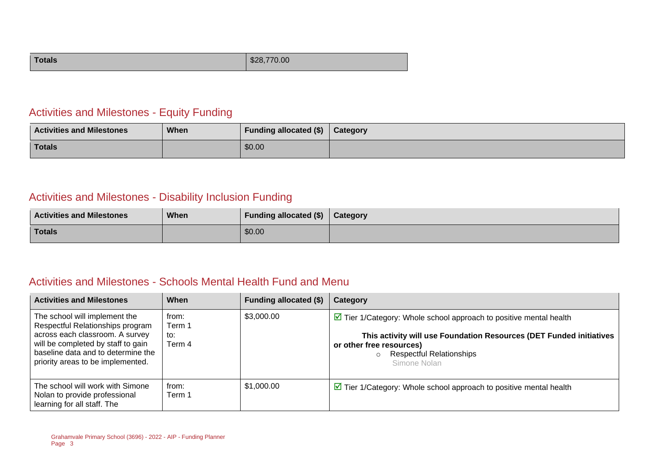| <b>Totals</b><br>\$28,770.00 |
|------------------------------|
|------------------------------|

#### Activities and Milestones - Equity Funding

| <b>Activities and Milestones</b> | <b>When</b> | <b>Funding allocated (\$)</b> | Category |
|----------------------------------|-------------|-------------------------------|----------|
| <b>Totals</b>                    |             | \$0.00                        |          |

### Activities and Milestones - Disability Inclusion Funding

| <b>Activities and Milestones</b> | When | Funding allocated (\$) | Category |
|----------------------------------|------|------------------------|----------|
| <b>Totals</b>                    |      | \$0.00                 |          |

#### Activities and Milestones - Schools Mental Health Fund and Menu

| <b>Activities and Milestones</b>                                                                                                                                                                                      | When                             | Funding allocated (\$) | Category                                                                                                                                                                                                                                           |
|-----------------------------------------------------------------------------------------------------------------------------------------------------------------------------------------------------------------------|----------------------------------|------------------------|----------------------------------------------------------------------------------------------------------------------------------------------------------------------------------------------------------------------------------------------------|
| The school will implement the<br>Respectful Relationships program<br>across each classroom. A survey<br>will be completed by staff to gain<br>baseline data and to determine the<br>priority areas to be implemented. | from:<br>Term 1<br>to:<br>Term 4 | \$3,000.00             | $\triangleright$ Tier 1/Category: Whole school approach to positive mental health<br>This activity will use Foundation Resources (DET Funded initiatives<br>or other free resources)<br><b>Respectful Relationships</b><br>$\circ$<br>Simone Nolan |
| The school will work with Simone<br>Nolan to provide professional<br>learning for all staff. The                                                                                                                      | from:<br>Term 1                  | \$1,000.00             | $\triangleright$ Tier 1/Category: Whole school approach to positive mental health                                                                                                                                                                  |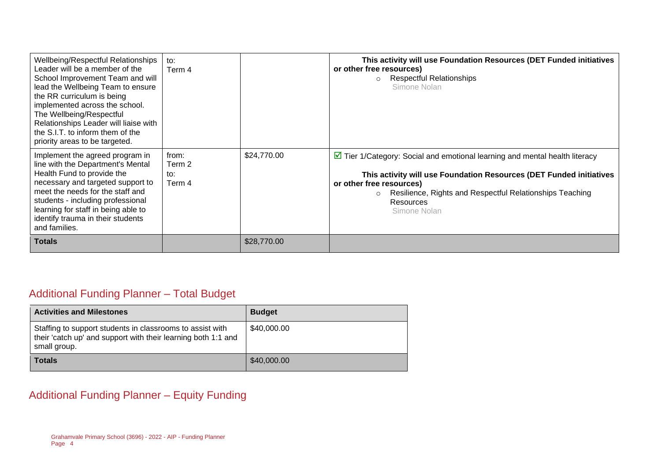| Wellbeing/Respectful Relationships<br>Leader will be a member of the<br>School Improvement Team and will<br>lead the Wellbeing Team to ensure<br>the RR curriculum is being<br>implemented across the school.<br>The Wellbeing/Respectful<br>Relationships Leader will liaise with<br>the S.I.T. to inform them of the<br>priority areas to be targeted. | to:<br>Term 4                    |             | This activity will use Foundation Resources (DET Funded initiatives<br>or other free resources)<br><b>Respectful Relationships</b><br>$\circ$<br>Simone Nolan                                                                                                                          |
|----------------------------------------------------------------------------------------------------------------------------------------------------------------------------------------------------------------------------------------------------------------------------------------------------------------------------------------------------------|----------------------------------|-------------|----------------------------------------------------------------------------------------------------------------------------------------------------------------------------------------------------------------------------------------------------------------------------------------|
| Implement the agreed program in<br>line with the Department's Mental<br>Health Fund to provide the<br>necessary and targeted support to<br>meet the needs for the staff and<br>students - including professional<br>learning for staff in being able to<br>identify trauma in their students<br>and families.                                            | from:<br>Term 2<br>to:<br>Term 4 | \$24,770.00 | $\triangleright$ Tier 1/Category: Social and emotional learning and mental health literacy<br>This activity will use Foundation Resources (DET Funded initiatives<br>or other free resources)<br>Resilience, Rights and Respectful Relationships Teaching<br>Resources<br>Simone Nolan |
| <b>Totals</b>                                                                                                                                                                                                                                                                                                                                            |                                  | \$28,770.00 |                                                                                                                                                                                                                                                                                        |

## Additional Funding Planner – Total Budget

| <b>Activities and Milestones</b>                                                                                                           | <b>Budget</b> |
|--------------------------------------------------------------------------------------------------------------------------------------------|---------------|
| Staffing to support students in classrooms to assist with<br>their 'catch up' and support with their learning both 1:1 and<br>small group. | \$40,000.00   |
| <b>Totals</b>                                                                                                                              | \$40,000.00   |

## Additional Funding Planner – Equity Funding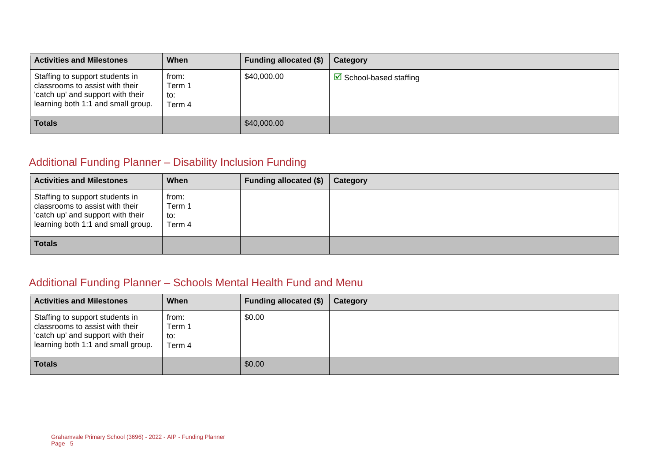| <b>Activities and Milestones</b>                                                                                                              | When                             | Funding allocated (\$) | Category                               |
|-----------------------------------------------------------------------------------------------------------------------------------------------|----------------------------------|------------------------|----------------------------------------|
| Staffing to support students in<br>classrooms to assist with their<br>'catch up' and support with their<br>learning both 1:1 and small group. | from:<br>Term 1<br>to:<br>Term 4 | \$40,000.00            | $\triangleright$ School-based staffing |
| <b>Totals</b>                                                                                                                                 |                                  | \$40,000.00            |                                        |

### Additional Funding Planner – Disability Inclusion Funding

| <b>Activities and Milestones</b>                                                                                                              | When                             | Funding allocated (\$) | Category |
|-----------------------------------------------------------------------------------------------------------------------------------------------|----------------------------------|------------------------|----------|
| Staffing to support students in<br>classrooms to assist with their<br>'catch up' and support with their<br>learning both 1:1 and small group. | from:<br>Term 1<br>to:<br>Term 4 |                        |          |
| <b>Totals</b>                                                                                                                                 |                                  |                        |          |

#### Additional Funding Planner – Schools Mental Health Fund and Menu

| <b>Activities and Milestones</b>                                                                                                              | When                             | Funding allocated $(\$)$ | Category |
|-----------------------------------------------------------------------------------------------------------------------------------------------|----------------------------------|--------------------------|----------|
| Staffing to support students in<br>classrooms to assist with their<br>'catch up' and support with their<br>learning both 1:1 and small group. | from:<br>Term 1<br>to:<br>Term 4 | \$0.00                   |          |
| <b>Totals</b>                                                                                                                                 |                                  | \$0.00                   |          |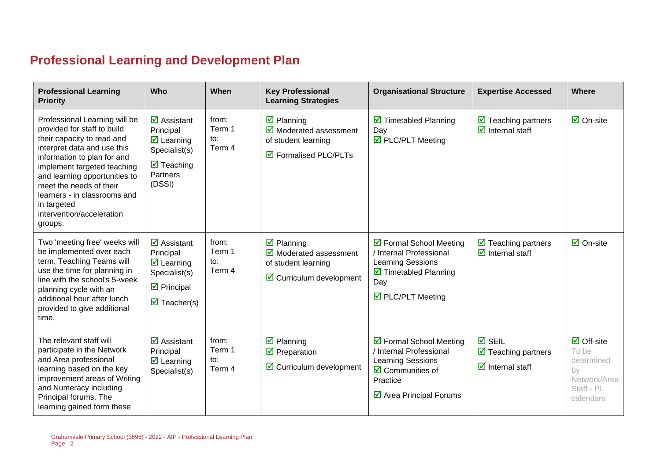# **Professional Learning and Development Plan**

| <b>Professional Learning</b><br><b>Priority</b>                                                                                                                                                                                                                                                                                            | <b>Who</b>                                                                                                                                        | When                             | <b>Key Professional</b><br><b>Learning Strategies</b>                                                                                          | <b>Organisational Structure</b>                                                                                                                                  | <b>Expertise Accessed</b>                                                                           | <b>Where</b>                                                                                       |
|--------------------------------------------------------------------------------------------------------------------------------------------------------------------------------------------------------------------------------------------------------------------------------------------------------------------------------------------|---------------------------------------------------------------------------------------------------------------------------------------------------|----------------------------------|------------------------------------------------------------------------------------------------------------------------------------------------|------------------------------------------------------------------------------------------------------------------------------------------------------------------|-----------------------------------------------------------------------------------------------------|----------------------------------------------------------------------------------------------------|
| Professional Learning will be<br>provided for staff to build<br>their capacity to read and<br>interpret data and use this<br>information to plan for and<br>implement targeted teaching<br>and learning opportunities to<br>meet the needs of their<br>learners - in classrooms and<br>in targeted<br>intervention/acceleration<br>groups. | $\overline{\mathbf{z}}$ Assistant<br>Principal<br>$\overline{\mathbf{z}}$ Learning<br>Specialist(s)<br>$\boxdot$ Teaching<br>Partners<br>(DSSI)   | from:<br>Term 1<br>to:<br>Term 4 | $\overline{\mathbf{z}}$ Planning<br>$\overline{\mathbf{y}}$ Moderated assessment<br>of student learning<br>$\triangledown$ Formalised PLC/PLTs | $\triangleright$ Timetabled Planning<br>Day<br>$\overline{\boxtimes}$ PLC/PLT Meeting                                                                            | $\triangleright$ Teaching partners<br>$\overline{\mathbf{d}}$ Internal staff                        | $\overline{\mathsf{M}}$ On-site                                                                    |
| Two 'meeting free' weeks will<br>be implemented over each<br>term. Teaching Teams will<br>use the time for planning in<br>line with the school's 5-week<br>planning cycle with an<br>additional hour after lunch<br>provided to give additional<br>time.                                                                                   | $\overline{\mathbf{z}}$ Assistant<br>Principal<br>$\boxdot$ Learning<br>Specialist(s)<br>$\triangleright$ Principal<br>$\triangledown$ Teacher(s) | from:<br>Term 1<br>to:<br>Term 4 | $\overline{\mathbf{y}}$ Planning<br>$\triangleright$ Moderated assessment<br>of student learning<br>$\triangleright$ Curriculum development    | ☑ Formal School Meeting<br>/ Internal Professional<br><b>Learning Sessions</b><br>$\triangleright$ Timetabled Planning<br>Day<br>$\triangledown$ PLC/PLT Meeting | $\triangledown$ Teaching partners<br>$\overline{\mathbf{M}}$ Internal staff                         | $\overline{\mathbf{a}}$ On-site                                                                    |
| The relevant staff will<br>participate in the Network<br>and Area professional<br>learning based on the key<br>improvement areas of Writing<br>and Numeracy including<br>Principal forums. The<br>learning gained form these                                                                                                               | $\overline{\mathbf{M}}$ Assistant<br>Principal<br>$\overline{\mathbf{y}}$ Learning<br>Specialist(s)                                               | from:<br>Term 1<br>to:<br>Term 4 | $\boxtimes$ Planning<br>$\triangledown$ Preparation<br>$\boxdot$ Curriculum development                                                        | ☑ Formal School Meeting<br>Internal Professional<br><b>Learning Sessions</b><br>$\overline{\mathbf{2}}$ Communities of<br>Practice<br>☑ Area Principal Forums    | $\overline{M}$ SEIL<br>$\triangleright$ Teaching partners<br>$\overline{\mathbf{d}}$ Internal staff | $\overline{\Box}$ Off-site<br>To be<br>determined<br>by<br>Network/Area<br>Staff - PL<br>calendars |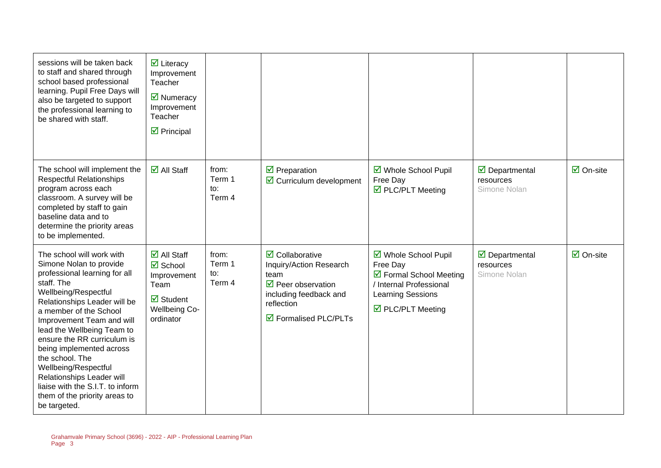| sessions will be taken back<br>to staff and shared through<br>school based professional<br>learning. Pupil Free Days will<br>also be targeted to support<br>the professional learning to<br>be shared with staff.                                                                                                                                                                                                                                                        | $\overline{\mathbf{y}}$ Literacy<br>Improvement<br>Teacher<br>☑ Numeracy<br>Improvement<br>Teacher<br>$\triangledown$ Principal                        |                                  |                                                                                                                                                                                     |                                                                                                                                                |                                                                   |                                 |
|--------------------------------------------------------------------------------------------------------------------------------------------------------------------------------------------------------------------------------------------------------------------------------------------------------------------------------------------------------------------------------------------------------------------------------------------------------------------------|--------------------------------------------------------------------------------------------------------------------------------------------------------|----------------------------------|-------------------------------------------------------------------------------------------------------------------------------------------------------------------------------------|------------------------------------------------------------------------------------------------------------------------------------------------|-------------------------------------------------------------------|---------------------------------|
| The school will implement the<br><b>Respectful Relationships</b><br>program across each<br>classroom. A survey will be<br>completed by staff to gain<br>baseline data and to<br>determine the priority areas<br>to be implemented.                                                                                                                                                                                                                                       | $\overline{\mathbf{M}}$ All Staff                                                                                                                      | from:<br>Term 1<br>to:<br>Term 4 | $\triangledown$ Preparation<br>$\boxtimes$ Curriculum development                                                                                                                   | ☑ Whole School Pupil<br>Free Day<br>$\overline{\boxtimes}$ PLC/PLT Meeting                                                                     | $\triangledown$ Departmental<br>resources<br>Simone Nolan         | $\overline{\mathbf{a}}$ On-site |
| The school will work with<br>Simone Nolan to provide<br>professional learning for all<br>staff. The<br>Wellbeing/Respectful<br>Relationships Leader will be<br>a member of the School<br>Improvement Team and will<br>lead the Wellbeing Team to<br>ensure the RR curriculum is<br>being implemented across<br>the school. The<br>Wellbeing/Respectful<br>Relationships Leader will<br>liaise with the S.I.T. to inform<br>them of the priority areas to<br>be targeted. | $\overline{\mathsf{M}}$ All Staff<br>$\boxtimes$ School<br>Improvement<br>Team<br>$\overline{\mathbf{M}}$ Student<br><b>Wellbeing Co-</b><br>ordinator | from:<br>Term 1<br>to:<br>Term 4 | $\triangledown$ Collaborative<br>Inquiry/Action Research<br>team<br>$\triangledown$ Peer observation<br>including feedback and<br>reflection<br>$\triangledown$ Formalised PLC/PLTs | ☑ Whole School Pupil<br>Free Day<br>☑ Formal School Meeting<br>/ Internal Professional<br>Learning Sessions<br>$\triangledown$ PLC/PLT Meeting | $\overline{\mathbf{y}}$ Departmental<br>resources<br>Simone Nolan | $\overline{\mathbf{a}}$ On-site |